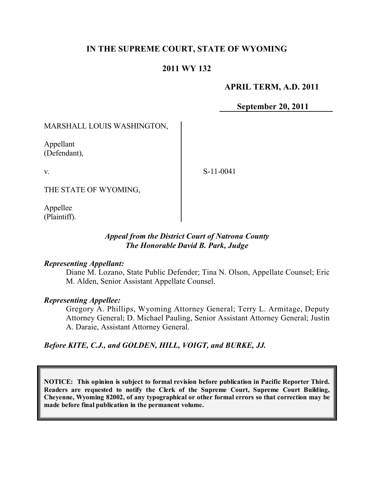# **IN THE SUPREME COURT, STATE OF WYOMING**

## **2011 WY 132**

### **APRIL TERM, A.D. 2011**

**September 20, 2011**

### MARSHALL LOUIS WASHINGTON,

Appellant (Defendant),

v.

S-11-0041

THE STATE OF WYOMING,

Appellee (Plaintiff).

#### *Appeal from the District Court of Natrona County The Honorable David B. Park, Judge*

#### *Representing Appellant:*

Diane M. Lozano, State Public Defender; Tina N. Olson, Appellate Counsel; Eric M. Alden, Senior Assistant Appellate Counsel.

### *Representing Appellee:*

Gregory A. Phillips, Wyoming Attorney General; Terry L. Armitage, Deputy Attorney General; D. Michael Pauling, Senior Assistant Attorney General; Justin A. Daraie, Assistant Attorney General.

*Before KITE, C.J., and GOLDEN, HILL, VOIGT, and BURKE, JJ.*

**NOTICE: This opinion is subject to formal revision before publication in Pacific Reporter Third. Readers are requested to notify the Clerk of the Supreme Court, Supreme Court Building, Cheyenne, Wyoming 82002, of any typographical or other formal errors so that correction may be made before final publication in the permanent volume.**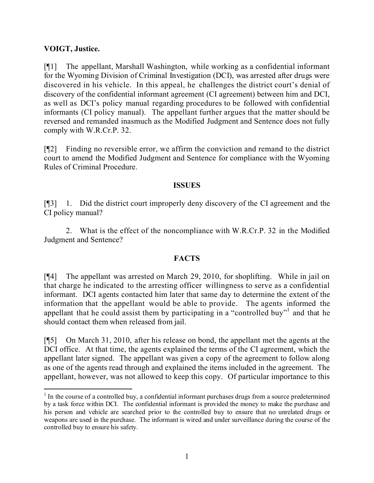### **VOIGT, Justice.**

l

[¶1] The appellant, Marshall Washington, while working as a confidential informant for the Wyoming Division of Criminal Investigation (DCI), was arrested after drugs were discovered in his vehicle. In this appeal, he challenges the district court's denial of discovery of the confidential informant agreement (CI agreement) between him and DCI, as well as DCI's policy manual regarding procedures to be followed with confidential informants (CI policy manual). The appellant further argues that the matter should be reversed and remanded inasmuch as the Modified Judgment and Sentence does not fully comply with W.R.Cr.P. 32.

[¶2] Finding no reversible error, we affirm the conviction and remand to the district court to amend the Modified Judgment and Sentence for compliance with the Wyoming Rules of Criminal Procedure.

### **ISSUES**

[¶3] 1. Did the district court improperly deny discovery of the CI agreement and the CI policy manual?

2. What is the effect of the noncompliance with W.R.Cr.P. 32 in the Modified Judgment and Sentence?

## **FACTS**

[¶4] The appellant was arrested on March 29, 2010, for shoplifting. While in jail on that charge he indicated to the arresting officer willingness to serve as a confidential informant. DCI agents contacted him later that same day to determine the extent of the information that the appellant would be able to provide. The agents informed the appellant that he could assist them by participating in a "controlled buy"<sup>1</sup> and that he should contact them when released from jail.

[¶5] On March 31, 2010, after his release on bond, the appellant met the agents at the DCI office. At that time, the agents explained the terms of the CI agreement, which the appellant later signed. The appellant was given a copy of the agreement to follow along as one of the agents read through and explained the items included in the agreement. The appellant, however, was not allowed to keep this copy. Of particular importance to this

 $1$  In the course of a controlled buy, a confidential informant purchases drugs from a source predetermined by a task force within DCI. The confidential informant is provided the money to make the purchase and his person and vehicle are searched prior to the controlled buy to ensure that no unrelated drugs or weapons are used in the purchase. The informant is wired and under surveillance during the course of the controlled buy to ensure his safety.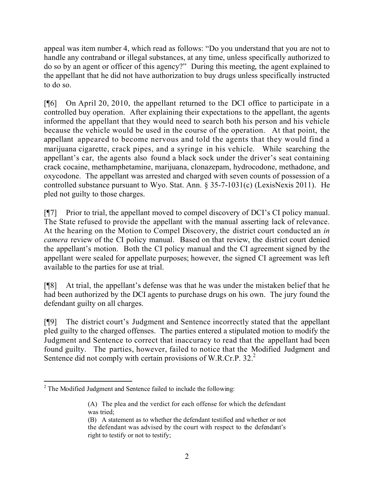appeal was item number 4, which read as follows: "Do you understand that you are not to handle any contraband or illegal substances, at any time, unless specifically authorized to do so by an agent or officer of this agency?" During this meeting, the agent explained to the appellant that he did not have authorization to buy drugs unless specifically instructed to do so.

[¶6] On April 20, 2010, the appellant returned to the DCI office to participate in a controlled buy operation. After explaining their expectations to the appellant, the agents informed the appellant that they would need to search both his person and his vehicle because the vehicle would be used in the course of the operation. At that point, the appellant appeared to become nervous and told the agents that they would find a marijuana cigarette, crack pipes, and a syringe in his vehicle. While searching the appellant's car, the agents also found a black sock under the driver's seat containing crack cocaine, methamphetamine, marijuana, clonazepam, hydrocodone, methadone, and oxycodone. The appellant was arrested and charged with seven counts of possession of a controlled substance pursuant to Wyo. Stat. Ann. § 35-7-1031(c) (LexisNexis 2011). He pled not guilty to those charges.

[¶7] Prior to trial, the appellant moved to compel discovery of DCI's CI policy manual. The State refused to provide the appellant with the manual asserting lack of relevance. At the hearing on the Motion to Compel Discovery, the district court conducted an *in camera* review of the CI policy manual. Based on that review, the district court denied the appellant's motion. Both the CI policy manual and the CI agreement signed by the appellant were sealed for appellate purposes; however, the signed CI agreement was left available to the parties for use at trial.

[¶8] At trial, the appellant's defense was that he was under the mistaken belief that he had been authorized by the DCI agents to purchase drugs on his own. The jury found the defendant guilty on all charges.

[¶9] The district court's Judgment and Sentence incorrectly stated that the appellant pled guilty to the charged offenses. The parties entered a stipulated motion to modify the Judgment and Sentence to correct that inaccuracy to read that the appellant had been found guilty. The parties, however, failed to notice that the Modified Judgment and Sentence did not comply with certain provisions of W.R.Cr.P. 32.<sup>2</sup>

l <sup>2</sup> The Modified Judgment and Sentence failed to include the following:

<sup>(</sup>A) The plea and the verdict for each offense for which the defendant was tried;

<sup>(</sup>B) A statement as to whether the defendant testified and whether or not the defendant was advised by the court with respect to the defendant's right to testify or not to testify;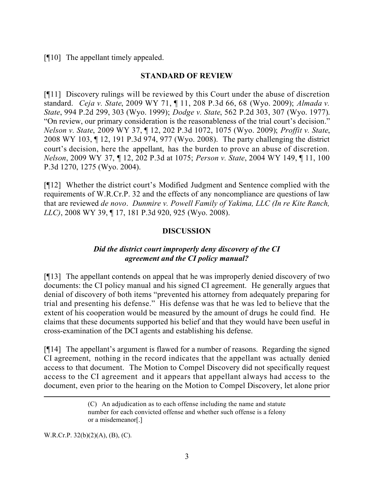## [¶10] The appellant timely appealed.

#### **STANDARD OF REVIEW**

[¶11] Discovery rulings will be reviewed by this Court under the abuse of discretion standard. *Ceja v. State*, 2009 WY 71, ¶ 11, 208 P.3d 66, 68 (Wyo. 2009); *Almada v. State*, 994 P.2d 299, 303 (Wyo. 1999); *Dodge v. State*, 562 P.2d 303, 307 (Wyo. 1977). "On review, our primary consideration is the reasonableness of the trial court's decision." *Nelson v. State*, 2009 WY 37, ¶ 12, 202 P.3d 1072, 1075 (Wyo. 2009); *Proffit v. State*, 2008 WY 103, ¶ 12, 191 P.3d 974, 977 (Wyo. 2008). The party challenging the district court's decision, here the appellant, has the burden to prove an abuse of discretion. *Nelson*, 2009 WY 37, ¶ 12, 202 P.3d at 1075; *Person v. State*, 2004 WY 149, ¶ 11, 100 P.3d 1270, 1275 (Wyo. 2004).

[¶12] Whether the district court's Modified Judgment and Sentence complied with the requirements of W.R.Cr.P. 32 and the effects of any noncompliance are questions of law that are reviewed *de novo*. *Dunmire v. Powell Family of Yakima, LLC (In re Kite Ranch, LLC)*, 2008 WY 39, ¶ 17, 181 P.3d 920, 925 (Wyo. 2008).

### **DISCUSSION**

# *Did the district court improperly deny discovery of the CI agreement and the CI policy manual?*

[¶13] The appellant contends on appeal that he was improperly denied discovery of two documents: the CI policy manual and his signed CI agreement. He generally argues that denial of discovery of both items "prevented his attorney from adequately preparing for trial and presenting his defense." His defense was that he was led to believe that the extent of his cooperation would be measured by the amount of drugs he could find. He claims that these documents supported his belief and that they would have been useful in cross-examination of the DCI agents and establishing his defense.

[¶14] The appellant's argument is flawed for a number of reasons. Regarding the signed CI agreement, nothing in the record indicates that the appellant was actually denied access to that document. The Motion to Compel Discovery did not specifically request access to the CI agreement and it appears that appellant always had access to the document, even prior to the hearing on the Motion to Compel Discovery, let alone prior

W.R.Cr.P. 32(b)(2)(A), (B), (C).

l

<sup>(</sup>C) An adjudication as to each offense including the name and statute number for each convicted offense and whether such offense is a felony or a misdemeanor[.]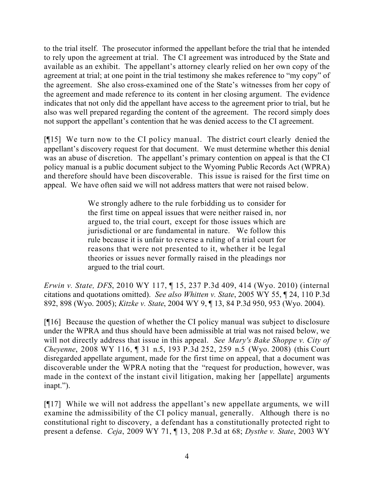to the trial itself. The prosecutor informed the appellant before the trial that he intended to rely upon the agreement at trial. The CI agreement was introduced by the State and available as an exhibit. The appellant's attorney clearly relied on her own copy of the agreement at trial; at one point in the trial testimony she makes reference to "my copy" of the agreement. She also cross-examined one of the State's witnesses from her copy of the agreement and made reference to its content in her closing argument. The evidence indicates that not only did the appellant have access to the agreement prior to trial, but he also was well prepared regarding the content of the agreement. The record simply does not support the appellant's contention that he was denied access to the CI agreement.

[¶15] We turn now to the CI policy manual. The district court clearly denied the appellant's discovery request for that document. We must determine whether this denial was an abuse of discretion. The appellant's primary contention on appeal is that the CI policy manual is a public document subject to the Wyoming Public Records Act (WPRA) and therefore should have been discoverable. This issue is raised for the first time on appeal. We have often said we will not address matters that were not raised below.

> We strongly adhere to the rule forbidding us to consider for the first time on appeal issues that were neither raised in, nor argued to, the trial court, except for those issues which are jurisdictional or are fundamental in nature. We follow this rule because it is unfair to reverse a ruling of a trial court for reasons that were not presented to it, whether it be legal theories or issues never formally raised in the pleadings nor argued to the trial court.

*Erwin v. State, DFS*, 2010 WY 117, ¶ 15, 237 P.3d 409, 414 (Wyo. 2010) (internal citations and quotations omitted). *See also Whitten v. State*, 2005 WY 55, ¶ 24, 110 P.3d 892, 898 (Wyo. 2005); *Kitzke v. State*, 2004 WY 9, ¶ 13, 84 P.3d 950, 953 (Wyo. 2004).

[¶16] Because the question of whether the CI policy manual was subject to disclosure under the WPRA and thus should have been admissible at trial was not raised below, we will not directly address that issue in this appeal. *See Mary's Bake Shoppe v. City of Cheyenne*, 2008 WY 116, ¶ 31 n.5, 193 P.3d 252, 259 n.5 (Wyo. 2008) (this Court disregarded appellate argument, made for the first time on appeal, that a document was discoverable under the WPRA noting that the "request for production, however, was made in the context of the instant civil litigation, making her [appellate] arguments inapt.").

[¶17] While we will not address the appellant's new appellate arguments, we will examine the admissibility of the CI policy manual, generally. Although there is no constitutional right to discovery, a defendant has a constitutionally protected right to present a defense. *Ceja*, 2009 WY 71, ¶ 13, 208 P.3d at 68; *Dysthe v. State*, 2003 WY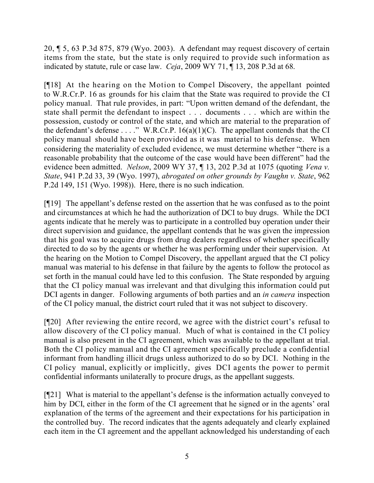20, ¶ 5, 63 P.3d 875, 879 (Wyo. 2003). A defendant may request discovery of certain items from the state, but the state is only required to provide such information as indicated by statute, rule or case law. *Ceja*, 2009 WY 71, ¶ 13, 208 P.3d at 68.

[¶18] At the hearing on the Motion to Compel Discovery, the appellant pointed to W.R.Cr.P. 16 as grounds for his claim that the State was required to provide the CI policy manual. That rule provides, in part: "Upon written demand of the defendant, the state shall permit the defendant to inspect . . . documents . . . which are within the possession, custody or control of the state, and which are material to the preparation of the defendant's defense . . . ." W.R.Cr.P. 16(a)(1)(C). The appellant contends that the CI policy manual should have been provided as it was material to his defense. When considering the materiality of excluded evidence, we must determine whether "there is a reasonable probability that the outcome of the case would have been different" had the evidence been admitted. *Nelson*, 2009 WY 37, ¶ 13, 202 P.3d at 1075 (quoting *Vena v. State*, 941 P.2d 33, 39 (Wyo. 1997), *abrogated on other grounds by Vaughn v. State*, 962 P.2d 149, 151 (Wyo. 1998)). Here, there is no such indication.

[¶19] The appellant's defense rested on the assertion that he was confused as to the point and circumstances at which he had the authorization of DCI to buy drugs. While the DCI agents indicate that he merely was to participate in a controlled buy operation under their direct supervision and guidance, the appellant contends that he was given the impression that his goal was to acquire drugs from drug dealers regardless of whether specifically directed to do so by the agents or whether he was performing under their supervision. At the hearing on the Motion to Compel Discovery, the appellant argued that the CI policy manual was material to his defense in that failure by the agents to follow the protocol as set forth in the manual could have led to this confusion. The State responded by arguing that the CI policy manual was irrelevant and that divulging this information could put DCI agents in danger. Following arguments of both parties and an *in camera* inspection of the CI policy manual, the district court ruled that it was not subject to discovery.

[¶20] After reviewing the entire record, we agree with the district court's refusal to allow discovery of the CI policy manual. Much of what is contained in the CI policy manual is also present in the CI agreement, which was available to the appellant at trial. Both the CI policy manual and the CI agreement specifically preclude a confidential informant from handling illicit drugs unless authorized to do so by DCI. Nothing in the CI policy manual, explicitly or implicitly, gives DCI agents the power to permit confidential informants unilaterally to procure drugs, as the appellant suggests.

[¶21] What is material to the appellant's defense is the information actually conveyed to him by DCI, either in the form of the CI agreement that he signed or in the agents' oral explanation of the terms of the agreement and their expectations for his participation in the controlled buy. The record indicates that the agents adequately and clearly explained each item in the CI agreement and the appellant acknowledged his understanding of each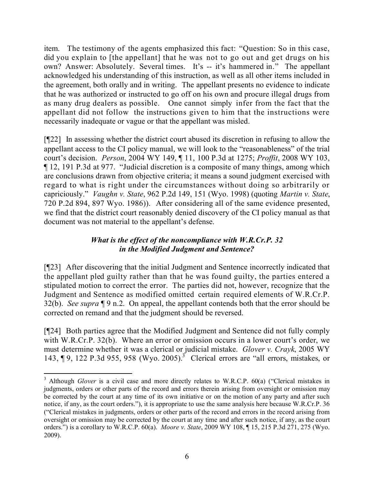item. The testimony of the agents emphasized this fact: "Question: So in this case, did you explain to [the appellant] that he was not to go out and get drugs on his own? Answer: Absolutely. Several times. It's -- it's hammered in." The appellant acknowledged his understanding of this instruction, as well as all other items included in the agreement, both orally and in writing. The appellant presents no evidence to indicate that he was authorized or instructed to go off on his own and procure illegal drugs from as many drug dealers as possible. One cannot simply infer from the fact that the appellant did not follow the instructions given to him that the instructions were necessarily inadequate or vague or that the appellant was misled.

[¶22] In assessing whether the district court abused its discretion in refusing to allow the appellant access to the CI policy manual, we will look to the "reasonableness" of the trial court's decision. *Person*, 2004 WY 149, ¶ 11, 100 P.3d at 1275; *Proffit*, 2008 WY 103, ¶ 12, 191 P.3d at 977. "Judicial discretion is a composite of many things, among which are conclusions drawn from objective criteria; it means a sound judgment exercised with regard to what is right under the circumstances without doing so arbitrarily or capriciously." *Vaughn v. State*, 962 P.2d 149, 151 (Wyo. 1998) (quoting *Martin v. State*, 720 P.2d 894, 897 Wyo. 1986)). After considering all of the same evidence presented, we find that the district court reasonably denied discovery of the CI policy manual as that document was not material to the appellant's defense.

# *What is the effect of the noncompliance with W.R.Cr.P. 32 in the Modified Judgment and Sentence?*

[¶23] After discovering that the initial Judgment and Sentence incorrectly indicated that the appellant pled guilty rather than that he was found guilty, the parties entered a stipulated motion to correct the error. The parties did not, however, recognize that the Judgment and Sentence as modified omitted certain required elements of W.R.Cr.P. 32(b). *See supra* ¶ 9 n.2. On appeal, the appellant contends both that the error should be corrected on remand and that the judgment should be reversed.

[¶24] Both parties agree that the Modified Judgment and Sentence did not fully comply with W.R.Cr.P. 32(b). Where an error or omission occurs in a lower court's order, we must determine whether it was a clerical or judicial mistake. *Glover v. Crayk*, 2005 WY 143, ¶ 9, 122 P.3d 955, 958 (Wyo. 2005). <sup>3</sup> Clerical errors are "all errors, mistakes, or

l

<sup>&</sup>lt;sup>3</sup> Although *Glover* is a civil case and more directly relates to W.R.C.P. 60(a) ("Clerical mistakes in judgments, orders or other parts of the record and errors therein arising from oversight or omission may be corrected by the court at any time of its own initiative or on the motion of any party and after such notice, if any, as the court orders."), it is appropriate to use the same analysis here because W.R.Cr.P. 36 ("Clerical mistakes in judgments, orders or other parts of the record and errors in the record arising from oversight or omission may be corrected by the court at any time and after such notice, if any, as the court orders.") is a corollary to W.R.C.P. 60(a). *Moore v. State*, 2009 WY 108, ¶ 15, 215 P.3d 271, 275 (Wyo. 2009).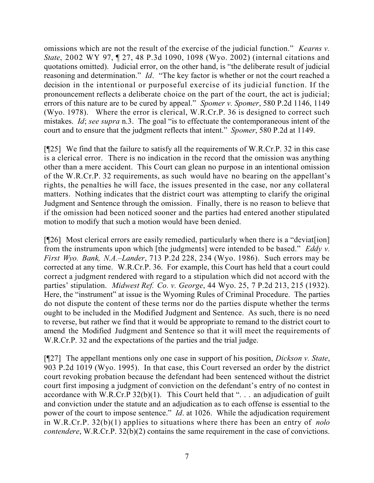omissions which are not the result of the exercise of the judicial function." *Kearns v. State*, 2002 WY 97, ¶ 27, 48 P.3d 1090, 1098 (Wyo. 2002) (internal citations and quotations omitted). Judicial error, on the other hand, is "the deliberate result of judicial reasoning and determination." *Id*. "The key factor is whether or not the court reached a decision in the intentional or purposeful exercise of its judicial function. If the pronouncement reflects a deliberate choice on the part of the court, the act is judicial; errors of this nature are to be cured by appeal." *Spomer v. Spomer*, 580 P.2d 1146, 1149 (Wyo. 1978). Where the error is clerical, W.R.Cr.P. 36 is designed to correct such mistakes. *Id*; *see supra* n.3. The goal "is to effectuate the contemporaneous intent of the court and to ensure that the judgment reflects that intent." *Spomer*, 580 P.2d at 1149.

[¶25] We find that the failure to satisfy all the requirements of W.R.Cr.P. 32 in this case is a clerical error. There is no indication in the record that the omission was anything other than a mere accident. This Court can glean no purpose in an intentional omission of the W.R.Cr.P. 32 requirements, as such would have no bearing on the appellant's rights, the penalties he will face, the issues presented in the case, nor any collateral matters. Nothing indicates that the district court was attempting to clarify the original Judgment and Sentence through the omission. Finally, there is no reason to believe that if the omission had been noticed sooner and the parties had entered another stipulated motion to modify that such a motion would have been denied.

[¶26] Most clerical errors are easily remedied, particularly when there is a "deviat[ion] from the instruments upon which [the judgments] were intended to be based." *Eddy v. First Wyo. Bank, N.A.–Lander*, 713 P.2d 228, 234 (Wyo. 1986). Such errors may be corrected at any time. W.R.Cr.P. 36. For example, this Court has held that a court could correct a judgment rendered with regard to a stipulation which did not accord with the parties' stipulation. *Midwest Ref. Co. v. George*, 44 Wyo. 25, 7 P.2d 213, 215 (1932). Here, the "instrument" at issue is the Wyoming Rules of Criminal Procedure. The parties do not dispute the content of these terms nor do the parties dispute whether the terms ought to be included in the Modified Judgment and Sentence. As such, there is no need to reverse, but rather we find that it would be appropriate to remand to the district court to amend the Modified Judgment and Sentence so that it will meet the requirements of W.R.Cr.P. 32 and the expectations of the parties and the trial judge.

[¶27] The appellant mentions only one case in support of his position, *Dickson v. State*, 903 P.2d 1019 (Wyo. 1995). In that case, this Court reversed an order by the district court revoking probation because the defendant had been sentenced without the district court first imposing a judgment of conviction on the defendant's entry of no contest in accordance with W.R.Cr.P  $32(b)(1)$ . This Court held that "... an adjudication of guilt and conviction under the statute and an adjudication as to each offense is essential to the power of the court to impose sentence." *Id*. at 1026. While the adjudication requirement in W.R.Cr.P. 32(b)(1) applies to situations where there has been an entry of *nolo contendere*, W.R.Cr.P. 32(b)(2) contains the same requirement in the case of convictions.